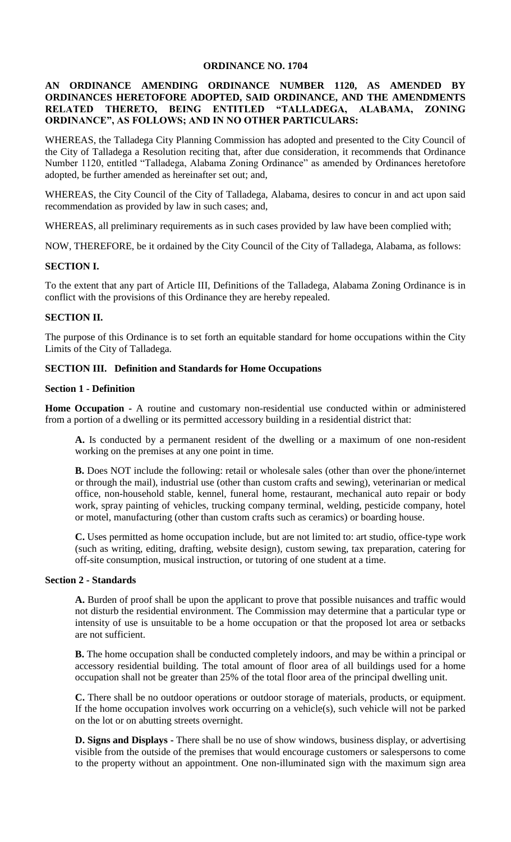# **ORDINANCE NO. 1704**

## **AN ORDINANCE AMENDING ORDINANCE NUMBER 1120, AS AMENDED BY ORDINANCES HERETOFORE ADOPTED, SAID ORDINANCE, AND THE AMENDMENTS RELATED THERETO, BEING ENTITLED "TALLADEGA, ALABAMA, ZONING ORDINANCE", AS FOLLOWS; AND IN NO OTHER PARTICULARS:**

WHEREAS, the Talladega City Planning Commission has adopted and presented to the City Council of the City of Talladega a Resolution reciting that, after due consideration, it recommends that Ordinance Number 1120, entitled "Talladega, Alabama Zoning Ordinance" as amended by Ordinances heretofore adopted, be further amended as hereinafter set out; and,

WHEREAS, the City Council of the City of Talladega, Alabama, desires to concur in and act upon said recommendation as provided by law in such cases; and,

WHEREAS, all preliminary requirements as in such cases provided by law have been complied with;

NOW, THEREFORE, be it ordained by the City Council of the City of Talladega, Alabama, as follows:

#### **SECTION I.**

To the extent that any part of Article III, Definitions of the Talladega, Alabama Zoning Ordinance is in conflict with the provisions of this Ordinance they are hereby repealed.

#### **SECTION II.**

The purpose of this Ordinance is to set forth an equitable standard for home occupations within the City Limits of the City of Talladega.

### **SECTION III. Definition and Standards for Home Occupations**

### **Section 1 - Definition**

**Home Occupation -** A routine and customary non-residential use conducted within or administered from a portion of a dwelling or its permitted accessory building in a residential district that:

**A.** Is conducted by a permanent resident of the dwelling or a maximum of one non-resident working on the premises at any one point in time.

**B.** Does NOT include the following: retail or wholesale sales (other than over the phone/internet or through the mail), industrial use (other than custom crafts and sewing), veterinarian or medical office, non-household stable, kennel, funeral home, restaurant, mechanical auto repair or body work, spray painting of vehicles, trucking company terminal, welding, pesticide company, hotel or motel, manufacturing (other than custom crafts such as ceramics) or boarding house.

**C.** Uses permitted as home occupation include, but are not limited to: art studio, office-type work (such as writing, editing, drafting, website design), custom sewing, tax preparation, catering for off-site consumption, musical instruction, or tutoring of one student at a time.

#### **Section 2 - Standards**

**A.** Burden of proof shall be upon the applicant to prove that possible nuisances and traffic would not disturb the residential environment. The Commission may determine that a particular type or intensity of use is unsuitable to be a home occupation or that the proposed lot area or setbacks are not sufficient.

**B.** The home occupation shall be conducted completely indoors, and may be within a principal or accessory residential building. The total amount of floor area of all buildings used for a home occupation shall not be greater than 25% of the total floor area of the principal dwelling unit.

**C.** There shall be no outdoor operations or outdoor storage of materials, products, or equipment. If the home occupation involves work occurring on a vehicle(s), such vehicle will not be parked on the lot or on abutting streets overnight.

**D. Signs and Displays -** There shall be no use of show windows, business display, or advertising visible from the outside of the premises that would encourage customers or salespersons to come to the property without an appointment. One non-illuminated sign with the maximum sign area